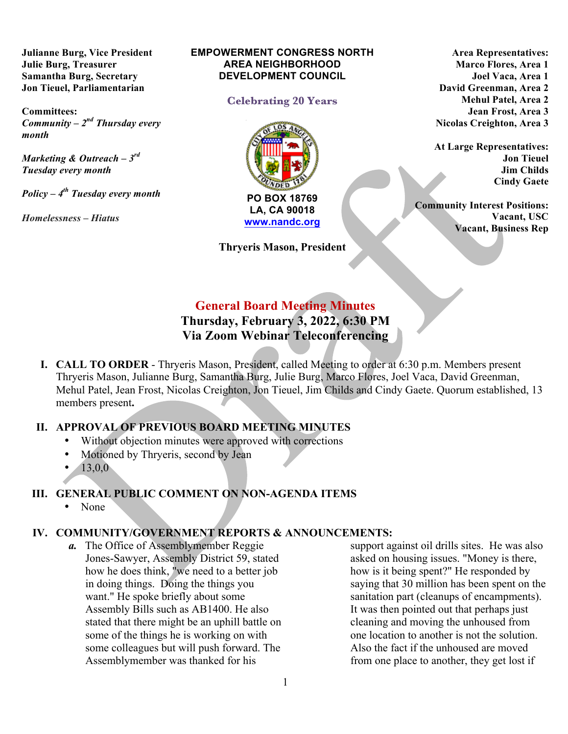**Julianne Burg, Vice President Julie Burg, Treasurer Samantha Burg, Secretary Jon Tieuel, Parliamentarian**

**Committees:**  *Community – 2nd Thursday every month* 

*Marketing & Outreach – 3rd Tuesday every month*

*Policy – 4th Tuesday every month* 

*Homelessness* **–** *Hiatus*

#### **EMPOWERMENT CONGRESS NORTH AREA NEIGHBORHOOD DEVELOPMENT COUNCIL**

### **Celebrating 20 Years**



**Thryeris Mason, President**

**Area Representatives: Marco Flores, Area 1 Joel Vaca, Area 1 David Greenman, Area 2 Mehul Patel, Area 2 Jean Frost, Area 3 Nicolas Creighton, Area 3**

**At Large Representatives: Jon Tieuel Jim Childs Cindy Gaete**

**Community Interest Positions: Vacant, USC Vacant, Business Rep**

# **General Board Meeting Minutes**

# **Thursday, February 3, 2022, 6:30 PM Via Zoom Webinar Teleconferencing**

**I. CALL TO ORDER** - Thryeris Mason, President, called Meeting to order at 6:30 p.m. Members present Thryeris Mason, Julianne Burg, Samantha Burg, Julie Burg, Marco Flores, Joel Vaca, David Greenman, Mehul Patel, Jean Frost, Nicolas Creighton, Jon Tieuel, Jim Childs and Cindy Gaete. Quorum established, 13 members present**.**

# **II. APPROVAL OF PREVIOUS BOARD MEETING MINUTES**

- Without objection minutes were approved with corrections
- Motioned by Thryeris, second by Jean
- 13,0,0

# **III. GENERAL PUBLIC COMMENT ON NON-AGENDA ITEMS**

• None

# **IV. COMMUNITY/GOVERNMENT REPORTS & ANNOUNCEMENTS:**

*a.* The Office of Assemblymember Reggie Jones-Sawyer, Assembly District 59, stated how he does think, "we need to a better job in doing things. Doing the things you want." He spoke briefly about some Assembly Bills such as AB1400. He also stated that there might be an uphill battle on some of the things he is working on with some colleagues but will push forward. The Assemblymember was thanked for his

support against oil drills sites. He was also asked on housing issues. "Money is there, how is it being spent?" He responded by saying that 30 million has been spent on the sanitation part (cleanups of encampments). It was then pointed out that perhaps just cleaning and moving the unhoused from one location to another is not the solution. Also the fact if the unhoused are moved from one place to another, they get lost if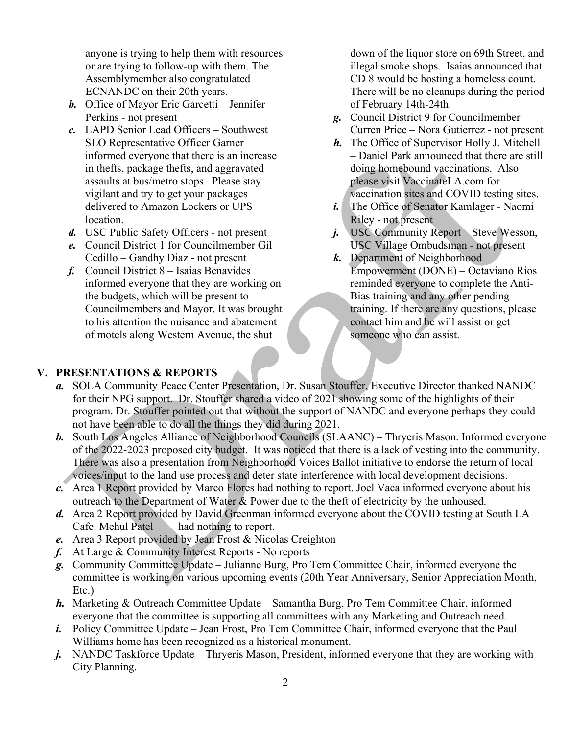anyone is trying to help them with resources or are trying to follow-up with them. The Assemblymember also congratulated ECNANDC on their 20th years.

- *b.* Office of Mayor Eric Garcetti Jennifer Perkins - not present
- *c.* LAPD Senior Lead Officers Southwest SLO Representative Officer Garner informed everyone that there is an increase in thefts, package thefts, and aggravated assaults at bus/metro stops. Please stay vigilant and try to get your packages delivered to Amazon Lockers or UPS location.
- *d.* USC Public Safety Officers not present
- *e.* Council District 1 for Councilmember Gil Cedillo – Gandhy Diaz - not present
- *f.* Council District 8 Isaias Benavides informed everyone that they are working on the budgets, which will be present to Councilmembers and Mayor. It was brought to his attention the nuisance and abatement of motels along Western Avenue, the shut

down of the liquor store on 69th Street, and illegal smoke shops. Isaias announced that CD 8 would be hosting a homeless count. There will be no cleanups during the period of February 14th-24th.

- *g.* Council District 9 for Councilmember Curren Price – Nora Gutierrez - not present
- *h.* The Office of Supervisor Holly J. Mitchell – Daniel Park announced that there are still doing homebound vaccinations. Also please visit VaccinateLA.com for vaccination sites and COVID testing sites.
- *i.* The Office of Senator Kamlager Naomi Riley - not present
- *j.* USC Community Report Steve Wesson, USC Village Ombudsman - not present
- *k.* Department of Neighborhood Empowerment (DONE) – Octaviano Rios reminded everyone to complete the Anti-Bias training and any other pending training. If there are any questions, please contact him and he will assist or get someone who can assist.

### **V. PRESENTATIONS & REPORTS**

- *a.* SOLA Community Peace Center Presentation, Dr. Susan Stouffer, Executive Director thanked NANDC for their NPG support. Dr. Stouffer shared a video of 2021 showing some of the highlights of their program. Dr. Stouffer pointed out that without the support of NANDC and everyone perhaps they could not have been able to do all the things they did during 2021.
- *b.* South Los Angeles Alliance of Neighborhood Councils (SLAANC) Thryeris Mason. Informed everyone of the 2022-2023 proposed city budget. It was noticed that there is a lack of vesting into the community. There was also a presentation from Neighborhood Voices Ballot initiative to endorse the return of local voices/input to the land use process and deter state interference with local development decisions.
- *c.* Area 1 Report provided by Marco Flores had nothing to report. Joel Vaca informed everyone about his outreach to the Department of Water & Power due to the theft of electricity by the unhoused.
- *d.* Area 2 Report provided by David Greenman informed everyone about the COVID testing at South LA Cafe. Mehul Patel had nothing to report.
- *e.* Area 3 Report provided by Jean Frost & Nicolas Creighton
- *f.* At Large & Community Interest Reports No reports
- *g.* Community Committee Update Julianne Burg, Pro Tem Committee Chair, informed everyone the committee is working on various upcoming events (20th Year Anniversary, Senior Appreciation Month, Etc.)
- *h.* Marketing & Outreach Committee Update Samantha Burg, Pro Tem Committee Chair, informed everyone that the committee is supporting all committees with any Marketing and Outreach need.
- *i.* Policy Committee Update Jean Frost, Pro Tem Committee Chair, informed everyone that the Paul Williams home has been recognized as a historical monument.
- *j.* NANDC Taskforce Update Thryeris Mason, President, informed everyone that they are working with City Planning.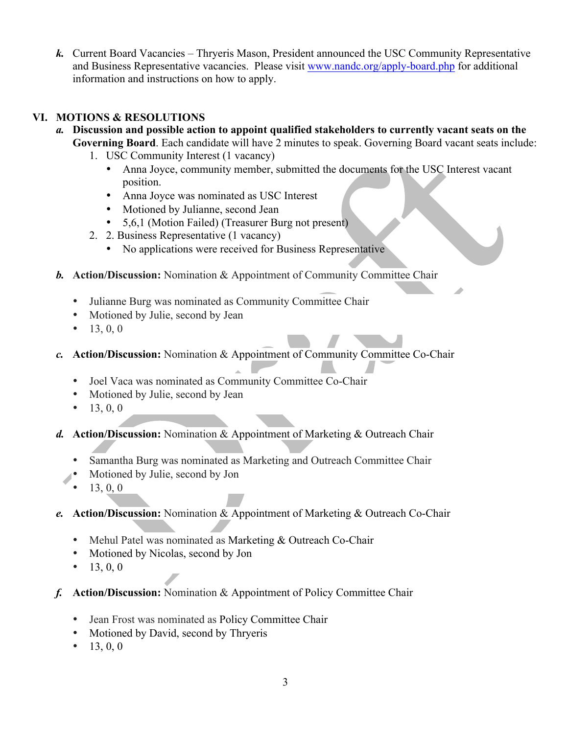*k.* Current Board Vacancies – Thryeris Mason, President announced the USC Community Representative and Business Representative vacancies. Please visit www.nandc.org/apply-board.php for additional information and instructions on how to apply.

# **VI. MOTIONS & RESOLUTIONS**

- *a.* **Discussion and possible action to appoint qualified stakeholders to currently vacant seats on the Governing Board**. Each candidate will have 2 minutes to speak. Governing Board vacant seats include:
	- 1. USC Community Interest (1 vacancy)
		- Anna Joyce, community member, submitted the documents for the USC Interest vacant position.
		- Anna Joyce was nominated as USC Interest
		- Motioned by Julianne, second Jean
		- 5,6,1 (Motion Failed) (Treasurer Burg not present)
	- 2. 2. Business Representative (1 vacancy)
		- No applications were received for Business Representative
- *b.* **Action/Discussion:** Nomination & Appointment of Community Committee Chair
	- Julianne Burg was nominated as Community Committee Chair
	- Motioned by Julie, second by Jean
	- 13, 0, 0
- *c.* **Action/Discussion:** Nomination & Appointment of Community Committee Co-Chair
	- Joel Vaca was nominated as Community Committee Co-Chair
	- Motioned by Julie, second by Jean
	- 13, 0, 0
- *d.* **Action/Discussion:** Nomination & Appointment of Marketing & Outreach Chair
	- Samantha Burg was nominated as Marketing and Outreach Committee Chair
	- Motioned by Julie, second by Jon
	- 13, 0, 0
- *e.* **Action/Discussion:** Nomination & Appointment of Marketing & Outreach Co-Chair
	- Mehul Patel was nominated as Marketing & Outreach Co-Chair
	- Motioned by Nicolas, second by Jon
	- 13, 0, 0
- *f.* **Action/Discussion:** Nomination & Appointment of Policy Committee Chair
	- Jean Frost was nominated as Policy Committee Chair
	- Motioned by David, second by Thryeris
	- 13, 0, 0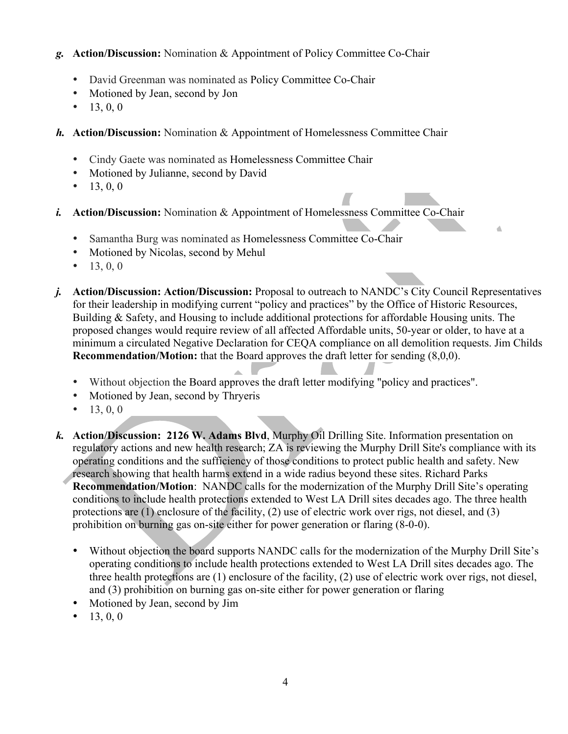## *g.* **Action/Discussion:** Nomination & Appointment of Policy Committee Co-Chair

- David Greenman was nominated as Policy Committee Co-Chair
- Motioned by Jean, second by Jon
- 13, 0, 0
- *h.* **Action/Discussion:** Nomination & Appointment of Homelessness Committee Chair
	- Cindy Gaete was nominated as Homelessness Committee Chair
	- Motioned by Julianne, second by David
	- 13, 0, 0
- *i.* **Action/Discussion:** Nomination & Appointment of Homelessness Committee Co-Chair
	- Samantha Burg was nominated as Homelessness Committee Co-Chair
	- Motioned by Nicolas, second by Mehul
	- 13, 0, 0
- *j.* **Action/Discussion: Action/Discussion:** Proposal to outreach to NANDC's City Council Representatives for their leadership in modifying current "policy and practices" by the Office of Historic Resources, Building & Safety, and Housing to include additional protections for affordable Housing units. The proposed changes would require review of all affected Affordable units, 50-year or older, to have at a minimum a circulated Negative Declaration for CEQA compliance on all demolition requests. Jim Childs **Recommendation/Motion:** that the Board approves the draft letter for sending (8,0,0).

 $\triangle$ 

- Without objection the Board approves the draft letter modifying "policy and practices".
- Motioned by Jean, second by Thryeris
- 13, 0, 0
- *k.* **Action/Discussion: 2126 W. Adams Blvd**, Murphy Oil Drilling Site. Information presentation on regulatory actions and new health research; ZA is reviewing the Murphy Drill Site's compliance with its operating conditions and the sufficiency of those conditions to protect public health and safety. New research showing that health harms extend in a wide radius beyond these sites. Richard Parks **Recommendation/Motion**: NANDC calls for the modernization of the Murphy Drill Site's operating conditions to include health protections extended to West LA Drill sites decades ago. The three health protections are (1) enclosure of the facility, (2) use of electric work over rigs, not diesel, and (3) prohibition on burning gas on-site either for power generation or flaring (8-0-0).
	- Without objection the board supports NANDC calls for the modernization of the Murphy Drill Site's operating conditions to include health protections extended to West LA Drill sites decades ago. The three health protections are (1) enclosure of the facility, (2) use of electric work over rigs, not diesel, and (3) prohibition on burning gas on-site either for power generation or flaring
	- Motioned by Jean, second by Jim
	- 13, 0, 0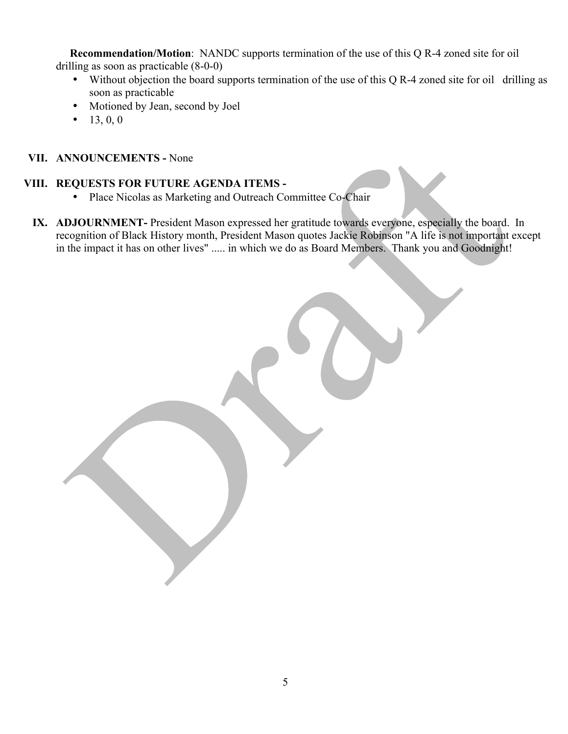**Recommendation/Motion**: NANDC supports termination of the use of this Q R-4 zoned site for oil drilling as soon as practicable (8-0-0)

- Without objection the board supports termination of the use of this Q R-4 zoned site for oil drilling as soon as practicable
- Motioned by Jean, second by Joel
- 13, 0, 0

### **VII. ANNOUNCEMENTS -** None

### **VIII. REQUESTS FOR FUTURE AGENDA ITEMS -**

- Place Nicolas as Marketing and Outreach Committee Co-Chair
- **IX. ADJOURNMENT-** President Mason expressed her gratitude towards everyone, especially the board. In recognition of Black History month, President Mason quotes Jackie Robinson "A life is not important except in the impact it has on other lives" ..... in which we do as Board Members. Thank you and Goodnight!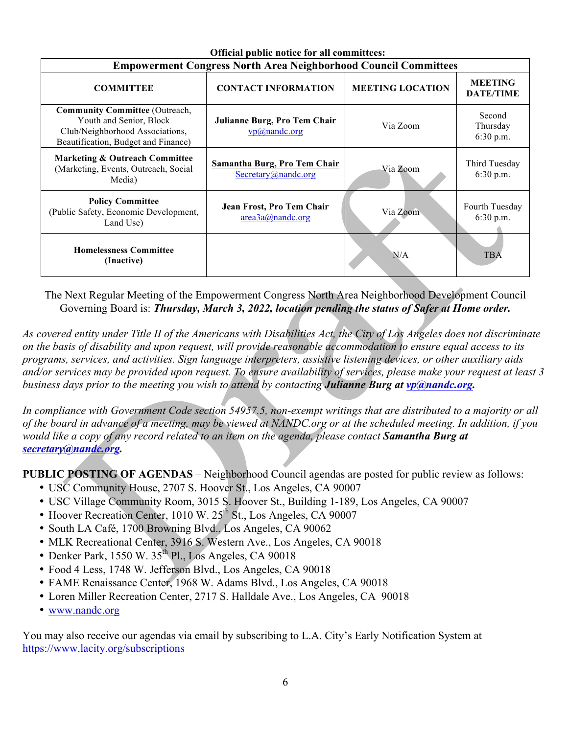| OTHeral public hottee for all committees.                                                                                                  |                                                            |                         |                                    |
|--------------------------------------------------------------------------------------------------------------------------------------------|------------------------------------------------------------|-------------------------|------------------------------------|
| <b>Empowerment Congress North Area Neighborhood Council Committees</b>                                                                     |                                                            |                         |                                    |
| <b>COMMITTEE</b>                                                                                                                           | <b>CONTACT INFORMATION</b>                                 | <b>MEETING LOCATION</b> | <b>MEETING</b><br><b>DATE/TIME</b> |
| <b>Community Committee (Outreach,</b><br>Youth and Senior, Block<br>Club/Neighborhood Associations,<br>Beautification, Budget and Finance) | Julianne Burg, Pro Tem Chair<br>vp@nande.org               | Via Zoom                | Second<br>Thursday<br>6:30 p.m.    |
| <b>Marketing &amp; Outreach Committee</b><br>(Marketing, Events, Outreach, Social<br>Media)                                                | <b>Samantha Burg, Pro Tem Chair</b><br>Secretary@nandc.org | Via Zoom                | Third Tuesday<br>6:30 p.m.         |
| <b>Policy Committee</b><br>(Public Safety, Economic Development,<br>Land Use)                                                              | Jean Frost, Pro Tem Chair<br>area3a@nande.org              | Via Zoom                | Fourth Tuesday<br>6:30 p.m.        |
| <b>Homelessness Committee</b><br>(Inactive)                                                                                                |                                                            | N/A                     | <b>TBA</b>                         |

#### **Official public notice for all committees:**

The Next Regular Meeting of the Empowerment Congress North Area Neighborhood Development Council Governing Board is: *Thursday, March 3, 2022, location pending the status of Safer at Home order.* 

*As covered entity under Title II of the Americans with Disabilities Act, the City of Los Angeles does not discriminate on the basis of disability and upon request, will provide reasonable accommodation to ensure equal access to its programs, services, and activities. Sign language interpreters, assistive listening devices, or other auxiliary aids and/or services may be provided upon request. To ensure availability of services, please make your request at least 3 business days prior to the meeting you wish to attend by contacting Julianne Burg at vp@nandc.org.*

*In compliance with Government Code section 54957.5, non-exempt writings that are distributed to a majority or all of the board in advance of a meeting, may be viewed at NANDC.org or at the scheduled meeting. In addition, if you would like a copy of any record related to an item on the agenda, please contact Samantha Burg at secretary@nandc.org.*

**PUBLIC POSTING OF AGENDAS** – Neighborhood Council agendas are posted for public review as follows:

- USC Community House, 2707 S. Hoover St., Los Angeles, CA 90007
- USC Village Community Room, 3015 S. Hoover St., Building 1-189, Los Angeles, CA 90007
- Hoover Recreation Center, 1010 W. 25<sup>th</sup> St., Los Angeles, CA 90007
- South LA Café, 1700 Browning Blvd., Los Angeles, CA 90062
- MLK Recreational Center, 3916 S. Western Ave., Los Angeles, CA 90018
- Denker Park, 1550 W.  $35<sup>th</sup>$  Pl., Los Angeles, CA 90018
- Food 4 Less, 1748 W. Jefferson Blvd., Los Angeles, CA 90018
- FAME Renaissance Center, 1968 W. Adams Blvd., Los Angeles, CA 90018
- Loren Miller Recreation Center, 2717 S. Halldale Ave., Los Angeles, CA 90018
- www.nandc.org

You may also receive our agendas via email by subscribing to L.A. City's Early Notification System at https://www.lacity.org/subscriptions